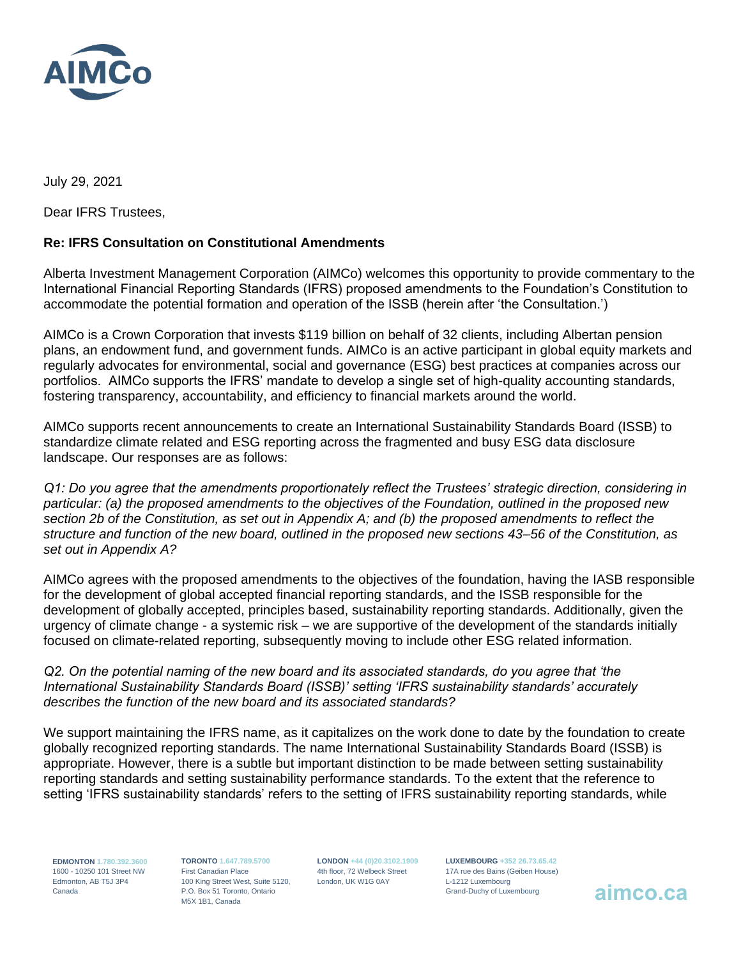

July 29, 2021

Dear IFRS Trustees,

## **Re: IFRS Consultation on Constitutional Amendments**

Alberta Investment Management Corporation (AIMCo) welcomes this opportunity to provide commentary to the International Financial Reporting Standards (IFRS) proposed amendments to the Foundation's Constitution to accommodate the potential formation and operation of the ISSB (herein after 'the Consultation.')

AIMCo is a Crown Corporation that invests \$119 billion on behalf of 32 clients, including Albertan pension plans, an endowment fund, and government funds. AIMCo is an active participant in global equity markets and regularly advocates for environmental, social and governance (ESG) best practices at companies across our portfolios. AIMCo supports the IFRS' mandate to develop a single set of high-quality accounting standards, fostering transparency, accountability, and efficiency to financial markets around the world.

AIMCo supports recent announcements to create an International Sustainability Standards Board (ISSB) to standardize climate related and ESG reporting across the fragmented and busy ESG data disclosure landscape. Our responses are as follows:

*Q1: Do you agree that the amendments proportionately reflect the Trustees' strategic direction, considering in particular: (a) the proposed amendments to the objectives of the Foundation, outlined in the proposed new section 2b of the Constitution, as set out in Appendix A; and (b) the proposed amendments to reflect the structure and function of the new board, outlined in the proposed new sections 43–56 of the Constitution, as set out in Appendix A?*

AIMCo agrees with the proposed amendments to the objectives of the foundation, having the IASB responsible for the development of global accepted financial reporting standards, and the ISSB responsible for the development of globally accepted, principles based, sustainability reporting standards. Additionally, given the urgency of climate change - a systemic risk – we are supportive of the development of the standards initially focused on climate-related reporting, subsequently moving to include other ESG related information.

*Q2. On the potential naming of the new board and its associated standards, do you agree that 'the International Sustainability Standards Board (ISSB)' setting 'IFRS sustainability standards' accurately describes the function of the new board and its associated standards?*

We support maintaining the IFRS name, as it capitalizes on the work done to date by the foundation to create globally recognized reporting standards. The name International Sustainability Standards Board (ISSB) is appropriate. However, there is a subtle but important distinction to be made between setting sustainability reporting standards and setting sustainability performance standards. To the extent that the reference to setting 'IFRS sustainability standards' refers to the setting of IFRS sustainability reporting standards, while

**EDMONTON 1.780.392.3600**  1600 - 10250 101 Street NW Edmonton, AB T5J 3P4 Canada

**TORONTO 1.647.789.5700** First Canadian Place 100 King Street West, Suite 5120, P.O. Box 51 Toronto, Ontario M5X 1B1, Canada

**LONDON +44 (0)20.3102.1909** 4th floor, 72 Welbeck Street London, UK W1G 0AY

**LUXEMBOURG +352 26.73.65.42** 17A rue des Bains (Geiben House) L-1212 Luxembourg Grand-Duchy of Luxembourg **aimco.ca**